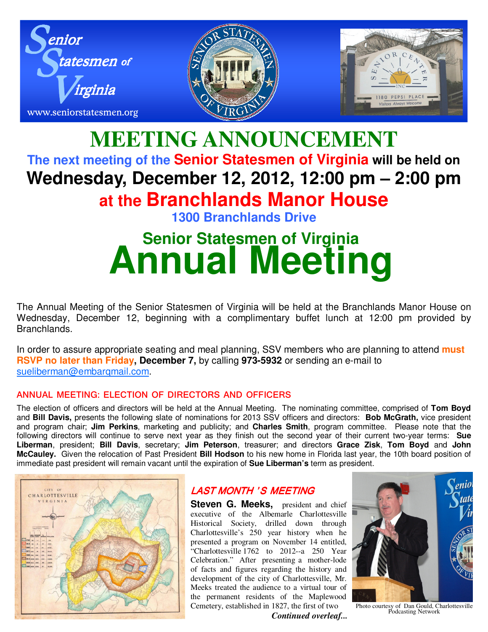

## **MEETING ANNOUNCEMENT The next meeting of the Senior Statesmen of Virginia will be held on Wednesday, December 12, 2012, 12:00 pm – 2:00 pm at the Branchlands Manor House 1300 Branchlands Drive**

# **Senior Statesmen of Virginia Annual Meeting**

The Annual Meeting of the Senior Statesmen of Virginia will be held at the Branchlands Manor House on Wednesday, December 12, beginning with a complimentary buffet lunch at 12:00 pm provided by Branchlands.

In order to assure appropriate seating and meal planning, SSV members who are planning to attend **must RSVP no later than Friday, December 7,** by calling **973-5932** or sending an e-mail to sueliberman@embarqmail.com.

#### **ANNUAL MEETING: ELECTION OF DIRECTORS AND OFFICERS**

The election of officers and directors will be held at the Annual Meeting. The nominating committee, comprised of **Tom Boyd** and **Bill Davis,** presents the following slate of nominations for 2013 SSV officers and directors: **Bob McGrath,** vice president and program chair; **Jim Perkins**, marketing and publicity; and **Charles Smith**, program committee. Please note that the following directors will continue to serve next year as they finish out the second year of their current two-year terms: **Sue Liberman**, president; **Bill Davis**, secretary; **Jim Peterson**, treasurer; and directors **Grace Zisk**, **Tom Boyd** and **John McCauley.** Given the relocation of Past President **Bill Hodson** to his new home in Florida last year, the 10th board position of immediate past president will remain vacant until the expiration of **Sue Liberman's** term as president.



### LAST MONTH 'S MEETING

**Steven G. Meeks,** president and chief executive of the Albemarle Charlottesville Historical Society, drilled down through Charlottesville's 250 year history when he presented a program on November 14 entitled, "Charlottesville 1762 to 2012--a 250 Year Celebration." After presenting a mother-lode of facts and figures regarding the history and development of the city of Charlottesville, Mr. Meeks treated the audience to a virtual tour of the permanent residents of the Maplewood Cemetery, established in 1827, the first of two



Photo courtesy of Dan Gould, Charlottesville Podcasting Network

 *Continued overleaf...*